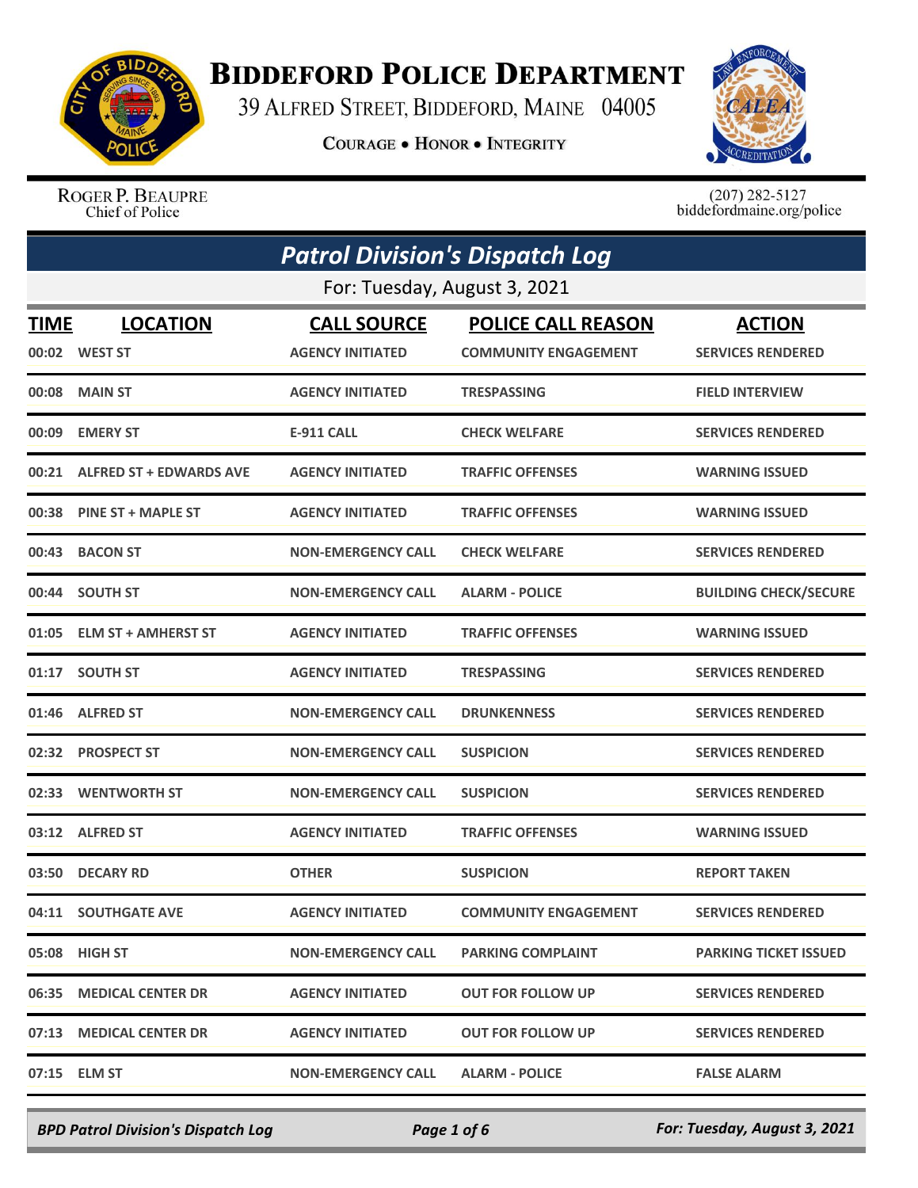

## **BIDDEFORD POLICE DEPARTMENT**

39 ALFRED STREET, BIDDEFORD, MAINE 04005

**COURAGE . HONOR . INTEGRITY** 



ROGER P. BEAUPRE Chief of Police

 $(207)$  282-5127<br>biddefordmaine.org/police

| <b>Patrol Division's Dispatch Log</b> |                                  |                                               |                                                          |                                           |  |  |
|---------------------------------------|----------------------------------|-----------------------------------------------|----------------------------------------------------------|-------------------------------------------|--|--|
|                                       | For: Tuesday, August 3, 2021     |                                               |                                                          |                                           |  |  |
| TIME                                  | <b>LOCATION</b><br>00:02 WEST ST | <b>CALL SOURCE</b><br><b>AGENCY INITIATED</b> | <b>POLICE CALL REASON</b><br><b>COMMUNITY ENGAGEMENT</b> | <b>ACTION</b><br><b>SERVICES RENDERED</b> |  |  |
| 00:08                                 | <b>MAIN ST</b>                   | <b>AGENCY INITIATED</b>                       | <b>TRESPASSING</b>                                       | <b>FIELD INTERVIEW</b>                    |  |  |
| 00:09                                 | <b>EMERY ST</b>                  | <b>E-911 CALL</b>                             | <b>CHECK WELFARE</b>                                     | <b>SERVICES RENDERED</b>                  |  |  |
| 00:21                                 | <b>ALFRED ST + EDWARDS AVE</b>   | <b>AGENCY INITIATED</b>                       | <b>TRAFFIC OFFENSES</b>                                  | <b>WARNING ISSUED</b>                     |  |  |
|                                       | 00:38 PINE ST + MAPLE ST         | <b>AGENCY INITIATED</b>                       | <b>TRAFFIC OFFENSES</b>                                  | <b>WARNING ISSUED</b>                     |  |  |
| 00:43                                 | <b>BACON ST</b>                  | <b>NON-EMERGENCY CALL</b>                     | <b>CHECK WELFARE</b>                                     | <b>SERVICES RENDERED</b>                  |  |  |
| 00:44                                 | <b>SOUTH ST</b>                  | <b>NON-EMERGENCY CALL</b>                     | <b>ALARM - POLICE</b>                                    | <b>BUILDING CHECK/SECURE</b>              |  |  |
| 01:05                                 | <b>ELM ST + AMHERST ST</b>       | <b>AGENCY INITIATED</b>                       | <b>TRAFFIC OFFENSES</b>                                  | <b>WARNING ISSUED</b>                     |  |  |
| 01:17                                 | <b>SOUTH ST</b>                  | <b>AGENCY INITIATED</b>                       | <b>TRESPASSING</b>                                       | <b>SERVICES RENDERED</b>                  |  |  |
| 01:46                                 | <b>ALFRED ST</b>                 | <b>NON-EMERGENCY CALL</b>                     | <b>DRUNKENNESS</b>                                       | <b>SERVICES RENDERED</b>                  |  |  |
| 02:32                                 | <b>PROSPECT ST</b>               | <b>NON-EMERGENCY CALL</b>                     | <b>SUSPICION</b>                                         | <b>SERVICES RENDERED</b>                  |  |  |
| 02:33                                 | <b>WENTWORTH ST</b>              | <b>NON-EMERGENCY CALL</b>                     | <b>SUSPICION</b>                                         | <b>SERVICES RENDERED</b>                  |  |  |
|                                       | 03:12 ALFRED ST                  | <b>AGENCY INITIATED</b>                       | <b>TRAFFIC OFFENSES</b>                                  | <b>WARNING ISSUED</b>                     |  |  |
|                                       | 03:50 DECARY RD                  | <b>OTHER</b>                                  | <b>SUSPICION</b>                                         | <b>REPORT TAKEN</b>                       |  |  |
|                                       | 04:11 SOUTHGATE AVE              | <b>AGENCY INITIATED</b>                       | <b>COMMUNITY ENGAGEMENT</b>                              | <b>SERVICES RENDERED</b>                  |  |  |
|                                       | 05:08 HIGH ST                    | <b>NON-EMERGENCY CALL</b>                     | <b>PARKING COMPLAINT</b>                                 | <b>PARKING TICKET ISSUED</b>              |  |  |
| 06:35                                 | <b>MEDICAL CENTER DR</b>         | <b>AGENCY INITIATED</b>                       | <b>OUT FOR FOLLOW UP</b>                                 | <b>SERVICES RENDERED</b>                  |  |  |
|                                       | 07:13 MEDICAL CENTER DR          | <b>AGENCY INITIATED</b>                       | <b>OUT FOR FOLLOW UP</b>                                 | <b>SERVICES RENDERED</b>                  |  |  |
|                                       | 07:15 ELM ST                     | <b>NON-EMERGENCY CALL</b>                     | <b>ALARM - POLICE</b>                                    | <b>FALSE ALARM</b>                        |  |  |

*BPD Patrol Division's Dispatch Log Page 1 of 6 For: Tuesday, August 3, 2021*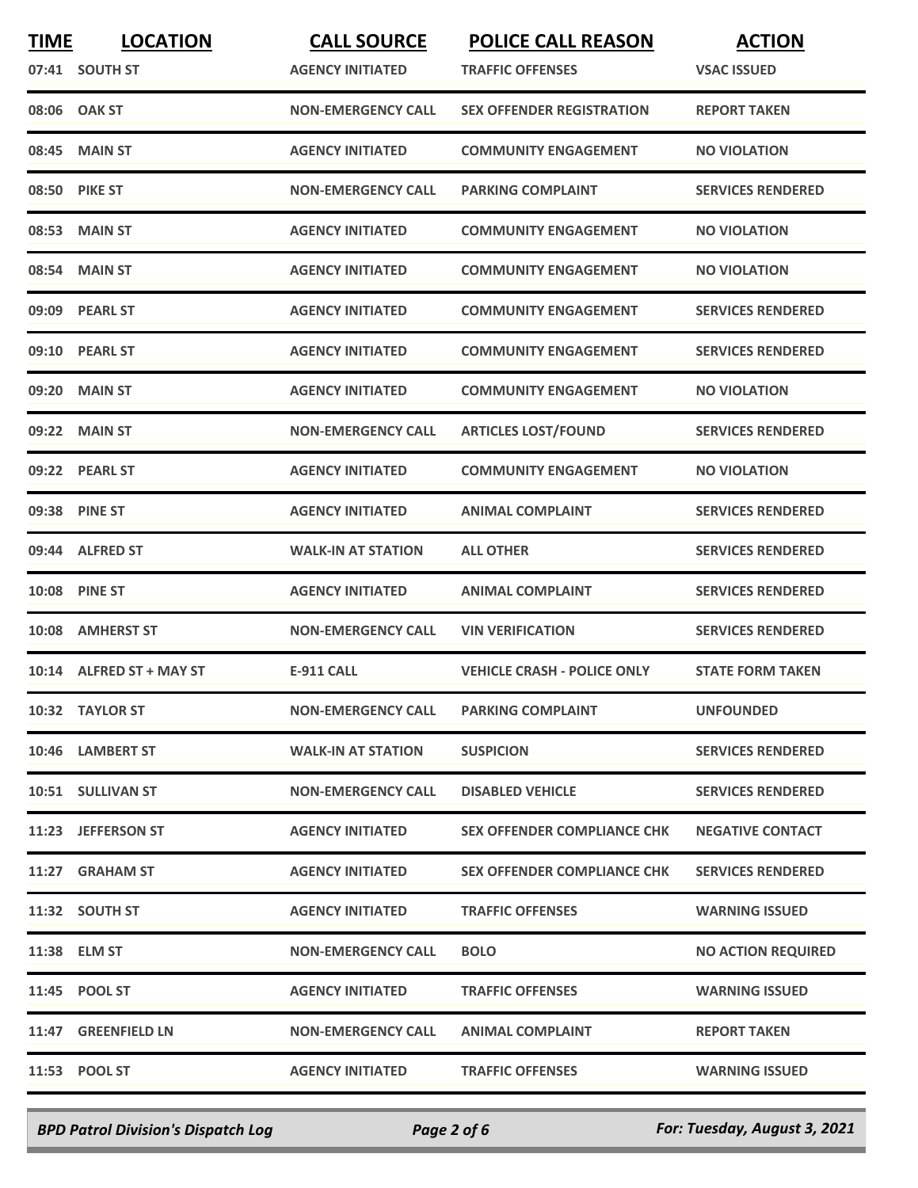| <b>TIME</b> | <b>LOCATION</b>          | <b>CALL SOURCE</b>        | <b>POLICE CALL REASON</b>          | <b>ACTION</b>             |
|-------------|--------------------------|---------------------------|------------------------------------|---------------------------|
|             | 07:41 SOUTH ST           | <b>AGENCY INITIATED</b>   | <b>TRAFFIC OFFENSES</b>            | <b>VSAC ISSUED</b>        |
|             | 08:06 OAK ST             | <b>NON-EMERGENCY CALL</b> | <b>SEX OFFENDER REGISTRATION</b>   | <b>REPORT TAKEN</b>       |
| 08:45       | <b>MAIN ST</b>           | <b>AGENCY INITIATED</b>   | <b>COMMUNITY ENGAGEMENT</b>        | <b>NO VIOLATION</b>       |
|             | 08:50 PIKE ST            | <b>NON-EMERGENCY CALL</b> | <b>PARKING COMPLAINT</b>           | <b>SERVICES RENDERED</b>  |
|             | 08:53 MAIN ST            | <b>AGENCY INITIATED</b>   | <b>COMMUNITY ENGAGEMENT</b>        | <b>NO VIOLATION</b>       |
|             | 08:54 MAIN ST            | <b>AGENCY INITIATED</b>   | <b>COMMUNITY ENGAGEMENT</b>        | <b>NO VIOLATION</b>       |
|             | 09:09 PEARL ST           | <b>AGENCY INITIATED</b>   | <b>COMMUNITY ENGAGEMENT</b>        | <b>SERVICES RENDERED</b>  |
| 09:10       | <b>PEARL ST</b>          | <b>AGENCY INITIATED</b>   | <b>COMMUNITY ENGAGEMENT</b>        | <b>SERVICES RENDERED</b>  |
| 09:20       | <b>MAIN ST</b>           | <b>AGENCY INITIATED</b>   | <b>COMMUNITY ENGAGEMENT</b>        | <b>NO VIOLATION</b>       |
| 09:22       | <b>MAIN ST</b>           | <b>NON-EMERGENCY CALL</b> | <b>ARTICLES LOST/FOUND</b>         | <b>SERVICES RENDERED</b>  |
| 09:22       | <b>PEARL ST</b>          | <b>AGENCY INITIATED</b>   | <b>COMMUNITY ENGAGEMENT</b>        | <b>NO VIOLATION</b>       |
|             | 09:38 PINE ST            | <b>AGENCY INITIATED</b>   | <b>ANIMAL COMPLAINT</b>            | <b>SERVICES RENDERED</b>  |
|             | 09:44 ALFRED ST          | <b>WALK-IN AT STATION</b> | <b>ALL OTHER</b>                   | <b>SERVICES RENDERED</b>  |
|             | <b>10:08 PINE ST</b>     | <b>AGENCY INITIATED</b>   | <b>ANIMAL COMPLAINT</b>            | <b>SERVICES RENDERED</b>  |
|             | 10:08 AMHERST ST         | <b>NON-EMERGENCY CALL</b> | <b>VIN VERIFICATION</b>            | <b>SERVICES RENDERED</b>  |
|             | 10:14 ALFRED ST + MAY ST | E-911 CALL                | <b>VEHICLE CRASH - POLICE ONLY</b> | <b>STATE FORM TAKEN</b>   |
|             | 10:32 TAYLOR ST          | <b>NON-EMERGENCY CALL</b> | <b>PARKING COMPLAINT</b>           | <b>UNFOUNDED</b>          |
|             | 10:46 LAMBERT ST         | <b>WALK-IN AT STATION</b> | <b>SUSPICION</b>                   | <b>SERVICES RENDERED</b>  |
|             | 10:51 SULLIVAN ST        | <b>NON-EMERGENCY CALL</b> | <b>DISABLED VEHICLE</b>            | <b>SERVICES RENDERED</b>  |
|             | 11:23 JEFFERSON ST       | <b>AGENCY INITIATED</b>   | <b>SEX OFFENDER COMPLIANCE CHK</b> | <b>NEGATIVE CONTACT</b>   |
|             | 11:27 GRAHAM ST          | <b>AGENCY INITIATED</b>   | <b>SEX OFFENDER COMPLIANCE CHK</b> | <b>SERVICES RENDERED</b>  |
|             | 11:32 SOUTH ST           | <b>AGENCY INITIATED</b>   | <b>TRAFFIC OFFENSES</b>            | <b>WARNING ISSUED</b>     |
|             | 11:38 ELM ST             | <b>NON-EMERGENCY CALL</b> | <b>BOLO</b>                        | <b>NO ACTION REQUIRED</b> |
|             | 11:45 POOL ST            | <b>AGENCY INITIATED</b>   | <b>TRAFFIC OFFENSES</b>            | <b>WARNING ISSUED</b>     |
|             | 11:47 GREENFIELD LN      | <b>NON-EMERGENCY CALL</b> | <b>ANIMAL COMPLAINT</b>            | <b>REPORT TAKEN</b>       |
|             | 11:53 POOL ST            | <b>AGENCY INITIATED</b>   | <b>TRAFFIC OFFENSES</b>            | <b>WARNING ISSUED</b>     |
|             |                          |                           |                                    |                           |

*BPD Patrol Division's Dispatch Log Page 2 of 6 For: Tuesday, August 3, 2021*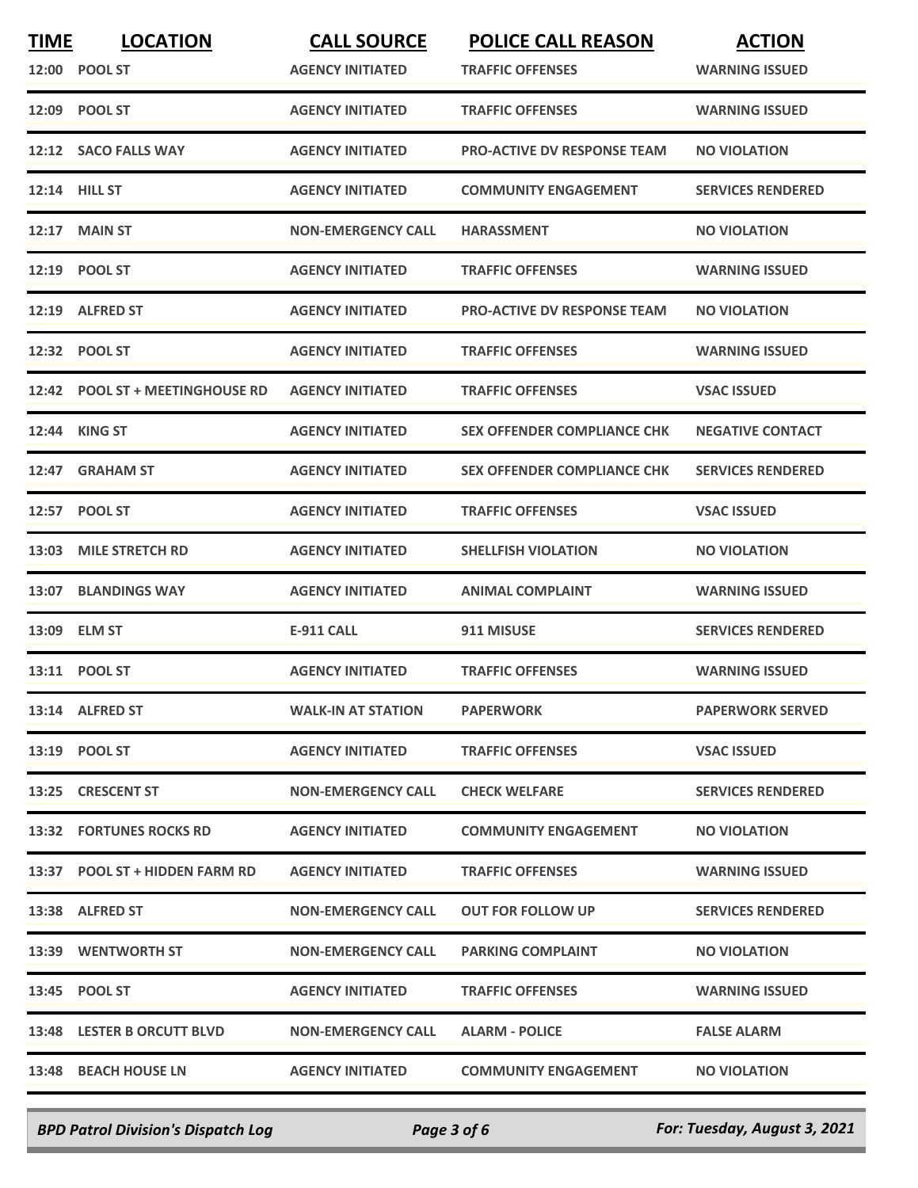| <b>TIME</b> | <b>LOCATION</b>                  | <b>CALL SOURCE</b>        | <b>POLICE CALL REASON</b>          | <b>ACTION</b>            |
|-------------|----------------------------------|---------------------------|------------------------------------|--------------------------|
| 12:00       | <b>POOL ST</b>                   | <b>AGENCY INITIATED</b>   | <b>TRAFFIC OFFENSES</b>            | <b>WARNING ISSUED</b>    |
|             | 12:09 POOL ST                    | <b>AGENCY INITIATED</b>   | <b>TRAFFIC OFFENSES</b>            | <b>WARNING ISSUED</b>    |
|             | 12:12 SACO FALLS WAY             | <b>AGENCY INITIATED</b>   | PRO-ACTIVE DV RESPONSE TEAM        | <b>NO VIOLATION</b>      |
|             | 12:14 HILL ST                    | <b>AGENCY INITIATED</b>   | <b>COMMUNITY ENGAGEMENT</b>        | <b>SERVICES RENDERED</b> |
|             | <b>12:17 MAIN ST</b>             | <b>NON-EMERGENCY CALL</b> | <b>HARASSMENT</b>                  | <b>NO VIOLATION</b>      |
|             | 12:19 POOL ST                    | <b>AGENCY INITIATED</b>   | <b>TRAFFIC OFFENSES</b>            | <b>WARNING ISSUED</b>    |
|             | 12:19 ALFRED ST                  | <b>AGENCY INITIATED</b>   | <b>PRO-ACTIVE DV RESPONSE TEAM</b> | <b>NO VIOLATION</b>      |
| 12:32       | <b>POOL ST</b>                   | <b>AGENCY INITIATED</b>   | <b>TRAFFIC OFFENSES</b>            | <b>WARNING ISSUED</b>    |
| 12:42       | <b>POOL ST + MEETINGHOUSE RD</b> | <b>AGENCY INITIATED</b>   | <b>TRAFFIC OFFENSES</b>            | <b>VSAC ISSUED</b>       |
| 12:44       | <b>KING ST</b>                   | <b>AGENCY INITIATED</b>   | <b>SEX OFFENDER COMPLIANCE CHK</b> | <b>NEGATIVE CONTACT</b>  |
| 12:47       | <b>GRAHAM ST</b>                 | <b>AGENCY INITIATED</b>   | <b>SEX OFFENDER COMPLIANCE CHK</b> | <b>SERVICES RENDERED</b> |
| 12:57       | <b>POOL ST</b>                   | <b>AGENCY INITIATED</b>   | <b>TRAFFIC OFFENSES</b>            | <b>VSAC ISSUED</b>       |
| 13:03       | <b>MILE STRETCH RD</b>           | <b>AGENCY INITIATED</b>   | <b>SHELLFISH VIOLATION</b>         | <b>NO VIOLATION</b>      |
| 13:07       | <b>BLANDINGS WAY</b>             | <b>AGENCY INITIATED</b>   | <b>ANIMAL COMPLAINT</b>            | <b>WARNING ISSUED</b>    |
| 13:09       | <b>ELM ST</b>                    | <b>E-911 CALL</b>         | 911 MISUSE                         | <b>SERVICES RENDERED</b> |
|             | 13:11 POOL ST                    | <b>AGENCY INITIATED</b>   | <b>TRAFFIC OFFENSES</b>            | <b>WARNING ISSUED</b>    |
|             | 13:14 ALFRED ST                  | <b>WALK-IN AT STATION</b> | <b>PAPERWORK</b>                   | <b>PAPERWORK SERVED</b>  |
|             | 13:19 POOL ST                    | <b>AGENCY INITIATED</b>   | <b>TRAFFIC OFFENSES</b>            | <b>VSAC ISSUED</b>       |
|             | 13:25 CRESCENT ST                | <b>NON-EMERGENCY CALL</b> | <b>CHECK WELFARE</b>               | <b>SERVICES RENDERED</b> |
|             | 13:32 FORTUNES ROCKS RD          | <b>AGENCY INITIATED</b>   | <b>COMMUNITY ENGAGEMENT</b>        | <b>NO VIOLATION</b>      |
|             | 13:37 POOL ST + HIDDEN FARM RD   | <b>AGENCY INITIATED</b>   | <b>TRAFFIC OFFENSES</b>            | <b>WARNING ISSUED</b>    |
|             | 13:38 ALFRED ST                  | <b>NON-EMERGENCY CALL</b> | <b>OUT FOR FOLLOW UP</b>           | <b>SERVICES RENDERED</b> |
|             | 13:39 WENTWORTH ST               | <b>NON-EMERGENCY CALL</b> | <b>PARKING COMPLAINT</b>           | <b>NO VIOLATION</b>      |
|             | 13:45 POOL ST                    | <b>AGENCY INITIATED</b>   | <b>TRAFFIC OFFENSES</b>            | <b>WARNING ISSUED</b>    |
|             | 13:48 LESTER B ORCUTT BLVD       | <b>NON-EMERGENCY CALL</b> | <b>ALARM - POLICE</b>              | <b>FALSE ALARM</b>       |
|             | 13:48 BEACH HOUSE LN             | <b>AGENCY INITIATED</b>   | <b>COMMUNITY ENGAGEMENT</b>        | <b>NO VIOLATION</b>      |
|             |                                  |                           |                                    |                          |

*BPD Patrol Division's Dispatch Log Page 3 of 6 For: Tuesday, August 3, 2021*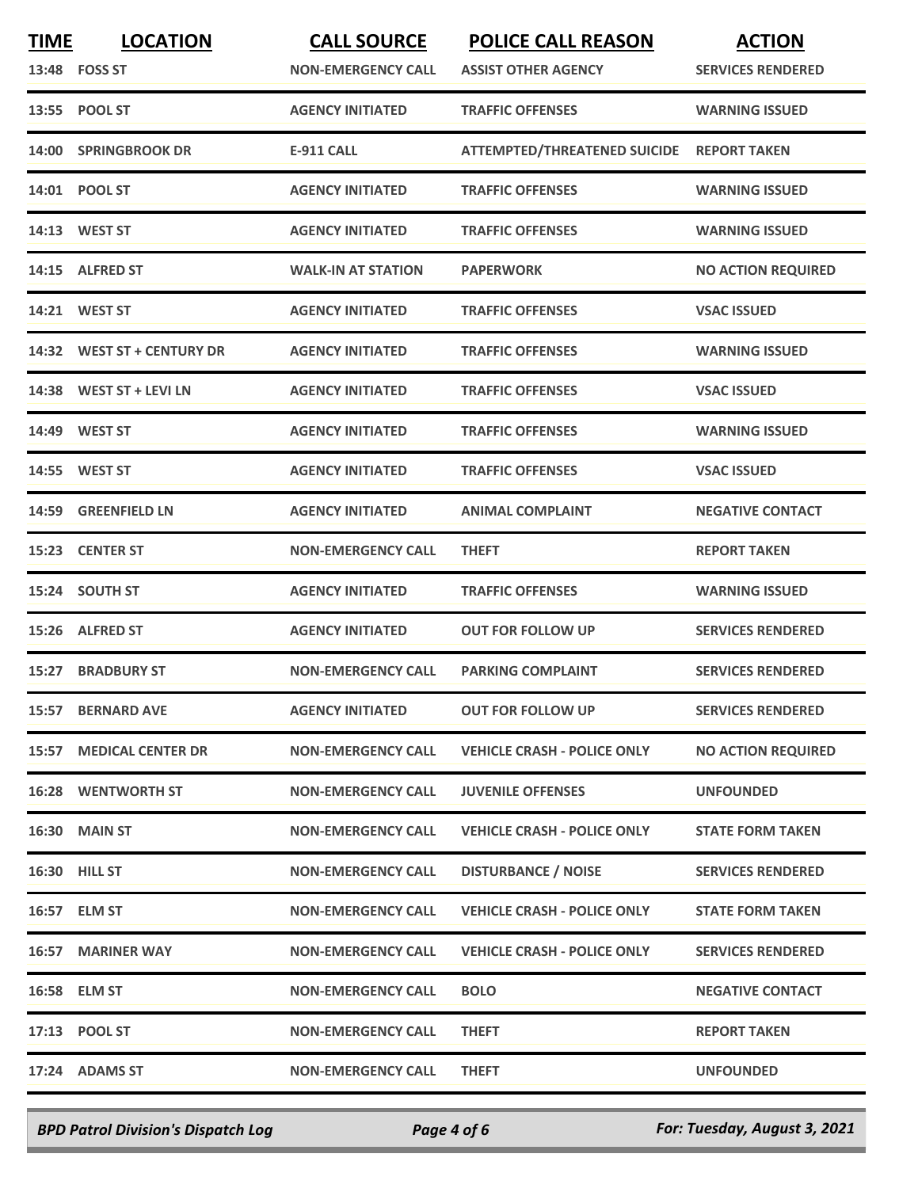| <b>TIME</b> | <b>LOCATION</b><br>13:48 FOSS ST | <b>CALL SOURCE</b><br><b>NON-EMERGENCY CALL</b> | <b>POLICE CALL REASON</b><br><b>ASSIST OTHER AGENCY</b> | <b>ACTION</b><br><b>SERVICES RENDERED</b> |
|-------------|----------------------------------|-------------------------------------------------|---------------------------------------------------------|-------------------------------------------|
|             | 13:55 POOL ST                    | <b>AGENCY INITIATED</b>                         | <b>TRAFFIC OFFENSES</b>                                 | <b>WARNING ISSUED</b>                     |
| 14:00       | <b>SPRINGBROOK DR</b>            | <b>E-911 CALL</b>                               | <b>ATTEMPTED/THREATENED SUICIDE</b>                     | <b>REPORT TAKEN</b>                       |
|             | 14:01 POOL ST                    | <b>AGENCY INITIATED</b>                         | <b>TRAFFIC OFFENSES</b>                                 | <b>WARNING ISSUED</b>                     |
|             | 14:13 WEST ST                    | <b>AGENCY INITIATED</b>                         | <b>TRAFFIC OFFENSES</b>                                 | <b>WARNING ISSUED</b>                     |
| 14:15       | <b>ALFRED ST</b>                 | <b>WALK-IN AT STATION</b>                       | <b>PAPERWORK</b>                                        | <b>NO ACTION REQUIRED</b>                 |
| 14:21       | <b>WEST ST</b>                   | <b>AGENCY INITIATED</b>                         | <b>TRAFFIC OFFENSES</b>                                 | <b>VSAC ISSUED</b>                        |
| 14:32       | <b>WEST ST + CENTURY DR</b>      | <b>AGENCY INITIATED</b>                         | <b>TRAFFIC OFFENSES</b>                                 | <b>WARNING ISSUED</b>                     |
|             | 14:38 WEST ST + LEVI LN          | <b>AGENCY INITIATED</b>                         | <b>TRAFFIC OFFENSES</b>                                 | <b>VSAC ISSUED</b>                        |
|             | 14:49 WEST ST                    | <b>AGENCY INITIATED</b>                         | <b>TRAFFIC OFFENSES</b>                                 | <b>WARNING ISSUED</b>                     |
|             | 14:55 WEST ST                    | <b>AGENCY INITIATED</b>                         | <b>TRAFFIC OFFENSES</b>                                 | <b>VSAC ISSUED</b>                        |
| 14:59       | <b>GREENFIELD LN</b>             | <b>AGENCY INITIATED</b>                         | <b>ANIMAL COMPLAINT</b>                                 | <b>NEGATIVE CONTACT</b>                   |
| 15:23       | <b>CENTER ST</b>                 | <b>NON-EMERGENCY CALL</b>                       | <b>THEFT</b>                                            | <b>REPORT TAKEN</b>                       |
|             | 15:24 SOUTH ST                   | <b>AGENCY INITIATED</b>                         | <b>TRAFFIC OFFENSES</b>                                 | <b>WARNING ISSUED</b>                     |
| 15:26       | <b>ALFRED ST</b>                 | <b>AGENCY INITIATED</b>                         | <b>OUT FOR FOLLOW UP</b>                                | <b>SERVICES RENDERED</b>                  |
| 15:27       | <b>BRADBURY ST</b>               | <b>NON-EMERGENCY CALL</b>                       | <b>PARKING COMPLAINT</b>                                | <b>SERVICES RENDERED</b>                  |
|             | 15:57 BERNARD AVE                | <b>AGENCY INITIATED</b>                         | <b>OUT FOR FOLLOW UP</b>                                | <b>SERVICES RENDERED</b>                  |
|             | <b>15:57 MEDICAL CENTER DR</b>   | <b>NON-EMERGENCY CALL</b>                       | <b>VEHICLE CRASH - POLICE ONLY</b>                      | <b>NO ACTION REQUIRED</b>                 |
|             | <b>16:28 WENTWORTH ST</b>        | <b>NON-EMERGENCY CALL</b>                       | <b>JUVENILE OFFENSES</b>                                | <b>UNFOUNDED</b>                          |
|             | <b>16:30 MAIN ST</b>             | <b>NON-EMERGENCY CALL</b>                       | <b>VEHICLE CRASH - POLICE ONLY</b>                      | <b>STATE FORM TAKEN</b>                   |
|             | <b>16:30 HILL ST</b>             | <b>NON-EMERGENCY CALL</b>                       | <b>DISTURBANCE / NOISE</b>                              | <b>SERVICES RENDERED</b>                  |
|             | 16:57 ELM ST                     | <b>NON-EMERGENCY CALL</b>                       | <b>VEHICLE CRASH - POLICE ONLY</b>                      | <b>STATE FORM TAKEN</b>                   |
|             | <b>16:57 MARINER WAY</b>         | <b>NON-EMERGENCY CALL</b>                       | <b>VEHICLE CRASH - POLICE ONLY</b>                      | <b>SERVICES RENDERED</b>                  |
|             | 16:58 ELM ST                     | <b>NON-EMERGENCY CALL</b>                       | <b>BOLO</b>                                             | <b>NEGATIVE CONTACT</b>                   |
|             | 17:13 POOL ST                    | <b>NON-EMERGENCY CALL</b>                       | <b>THEFT</b>                                            | <b>REPORT TAKEN</b>                       |
|             | 17:24 ADAMS ST                   | <b>NON-EMERGENCY CALL</b>                       | <b>THEFT</b>                                            | <b>UNFOUNDED</b>                          |
|             |                                  |                                                 |                                                         |                                           |

*BPD Patrol Division's Dispatch Log Page 4 of 6 For: Tuesday, August 3, 2021*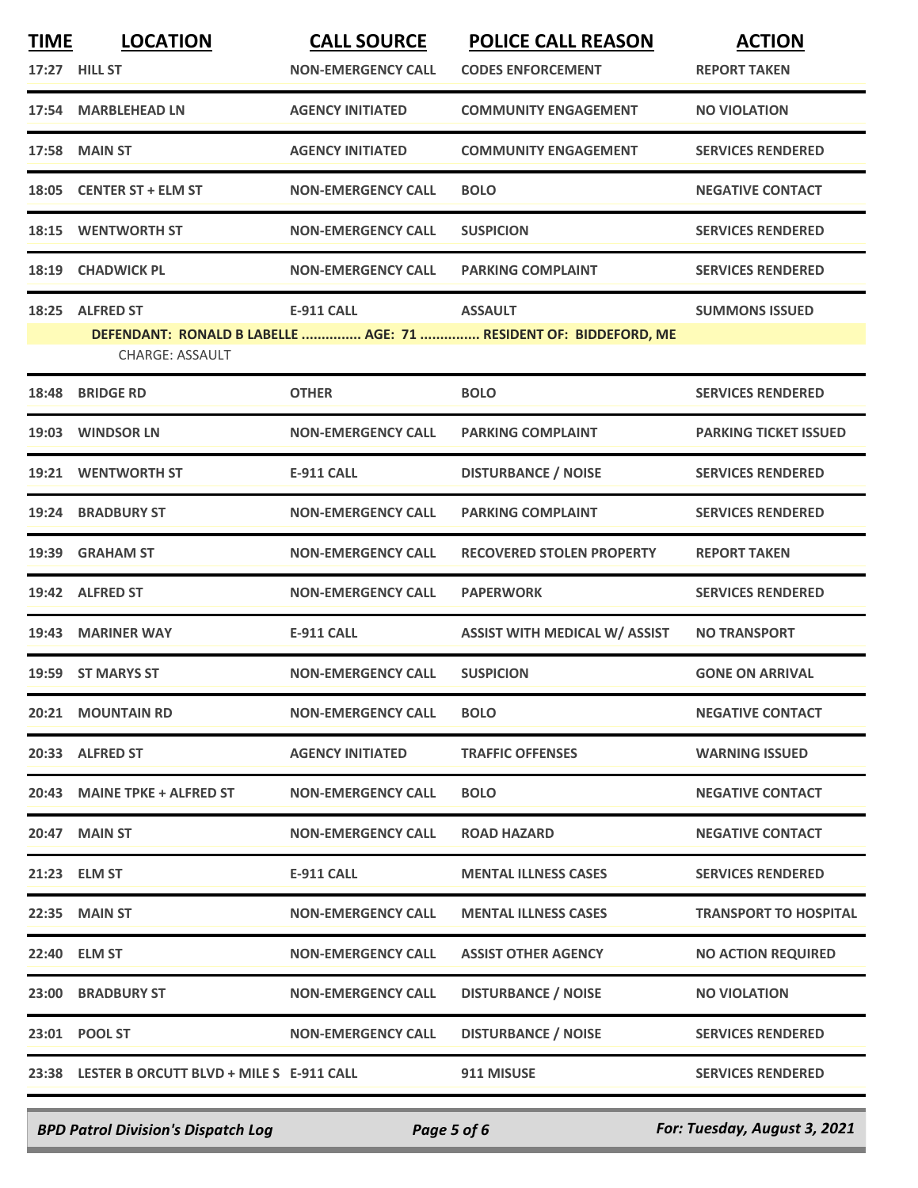| <b>TIME</b> | <b>LOCATION</b>                                | <b>CALL SOURCE</b>        | <b>POLICE CALL REASON</b>                                        | <b>ACTION</b>                |
|-------------|------------------------------------------------|---------------------------|------------------------------------------------------------------|------------------------------|
|             | 17:27 HILL ST                                  | <b>NON-EMERGENCY CALL</b> | <b>CODES ENFORCEMENT</b>                                         | <b>REPORT TAKEN</b>          |
|             | 17:54 MARBLEHEAD LN                            | <b>AGENCY INITIATED</b>   | <b>COMMUNITY ENGAGEMENT</b>                                      | <b>NO VIOLATION</b>          |
|             | <b>17:58 MAIN ST</b>                           | <b>AGENCY INITIATED</b>   | <b>COMMUNITY ENGAGEMENT</b>                                      | <b>SERVICES RENDERED</b>     |
| 18:05       | <b>CENTER ST + ELM ST</b>                      | <b>NON-EMERGENCY CALL</b> | <b>BOLO</b>                                                      | <b>NEGATIVE CONTACT</b>      |
| 18:15       | <b>WENTWORTH ST</b>                            | <b>NON-EMERGENCY CALL</b> | <b>SUSPICION</b>                                                 | <b>SERVICES RENDERED</b>     |
|             | 18:19 CHADWICK PL                              | <b>NON-EMERGENCY CALL</b> | <b>PARKING COMPLAINT</b>                                         | <b>SERVICES RENDERED</b>     |
| 18:25       | <b>ALFRED ST</b>                               | <b>E-911 CALL</b>         | <b>ASSAULT</b>                                                   | <b>SUMMONS ISSUED</b>        |
|             |                                                |                           | DEFENDANT: RONALD B LABELLE  AGE: 71  RESIDENT OF: BIDDEFORD, ME |                              |
|             | <b>CHARGE: ASSAULT</b>                         |                           |                                                                  |                              |
| 18:48       | <b>BRIDGE RD</b>                               | <b>OTHER</b>              | <b>BOLO</b>                                                      | <b>SERVICES RENDERED</b>     |
|             | 19:03 WINDSOR LN                               | <b>NON-EMERGENCY CALL</b> | <b>PARKING COMPLAINT</b>                                         | <b>PARKING TICKET ISSUED</b> |
| 19:21       | <b>WENTWORTH ST</b>                            | <b>E-911 CALL</b>         | <b>DISTURBANCE / NOISE</b>                                       | <b>SERVICES RENDERED</b>     |
| 19:24       | <b>BRADBURY ST</b>                             | <b>NON-EMERGENCY CALL</b> | <b>PARKING COMPLAINT</b>                                         | <b>SERVICES RENDERED</b>     |
| 19:39       | <b>GRAHAM ST</b>                               | <b>NON-EMERGENCY CALL</b> | <b>RECOVERED STOLEN PROPERTY</b>                                 | <b>REPORT TAKEN</b>          |
|             | 19:42 ALFRED ST                                | <b>NON-EMERGENCY CALL</b> | <b>PAPERWORK</b>                                                 | <b>SERVICES RENDERED</b>     |
| 19:43       | <b>MARINER WAY</b>                             | <b>E-911 CALL</b>         | <b>ASSIST WITH MEDICAL W/ ASSIST</b>                             | <b>NO TRANSPORT</b>          |
| 19:59       | <b>ST MARYS ST</b>                             | <b>NON-EMERGENCY CALL</b> | <b>SUSPICION</b>                                                 | <b>GONE ON ARRIVAL</b>       |
|             | 20:21 MOUNTAIN RD                              | <b>NON-EMERGENCY CALL</b> | <b>BOLO</b>                                                      | <b>NEGATIVE CONTACT</b>      |
|             | 20:33 ALFRED ST                                | <b>AGENCY INITIATED</b>   | <b>TRAFFIC OFFENSES</b>                                          | <b>WARNING ISSUED</b>        |
|             | 20:43 MAINE TPKE + ALFRED ST                   | <b>NON-EMERGENCY CALL</b> | <b>BOLO</b>                                                      | <b>NEGATIVE CONTACT</b>      |
|             | 20:47 MAIN ST                                  | <b>NON-EMERGENCY CALL</b> | <b>ROAD HAZARD</b>                                               | <b>NEGATIVE CONTACT</b>      |
|             | 21:23 ELM ST                                   | <b>E-911 CALL</b>         | <b>MENTAL ILLNESS CASES</b>                                      | <b>SERVICES RENDERED</b>     |
|             | 22:35 MAIN ST                                  | <b>NON-EMERGENCY CALL</b> | <b>MENTAL ILLNESS CASES</b>                                      | <b>TRANSPORT TO HOSPITAL</b> |
|             | 22:40 ELM ST                                   | <b>NON-EMERGENCY CALL</b> | <b>ASSIST OTHER AGENCY</b>                                       | <b>NO ACTION REQUIRED</b>    |
|             | 23:00 BRADBURY ST                              | <b>NON-EMERGENCY CALL</b> | <b>DISTURBANCE / NOISE</b>                                       | <b>NO VIOLATION</b>          |
|             | 23:01 POOL ST                                  | <b>NON-EMERGENCY CALL</b> | <b>DISTURBANCE / NOISE</b>                                       | <b>SERVICES RENDERED</b>     |
|             | 23:38 LESTER B ORCUTT BLVD + MILE S E-911 CALL |                           | 911 MISUSE                                                       | <b>SERVICES RENDERED</b>     |
|             |                                                |                           |                                                                  |                              |

*BPD Patrol Division's Dispatch Log Page 5 of 6 For: Tuesday, August 3, 2021*